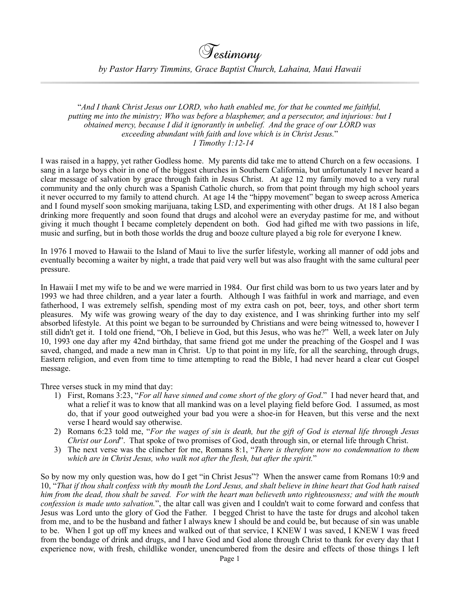*by Pastor Harry Timmins, Grace Baptist Church, Lahaina, Maui Hawaii*

 "*And I thank Christ Jesus our LORD, who hath enabled me, for that he counted me faithful, putting me into the ministry; Who was before a blasphemer, and a persecutor, and injurious: but I obtained mercy, because I did it ignorantly in unbelief. And the grace of our LORD was exceeding abundant with faith and love which is in Christ Jesus.*" *1 Timothy 1:12-14*

I was raised in a happy, yet rather Godless home. My parents did take me to attend Church on a few occasions. I sang in a large boys choir in one of the biggest churches in Southern California, but unfortunately I never heard a clear message of salvation by grace through faith in Jesus Christ. At age 12 my family moved to a very rural community and the only church was a Spanish Catholic church, so from that point through my high school years it never occurred to my family to attend church. At age 14 the "hippy movement" began to sweep across America and I found myself soon smoking marijuana, taking LSD, and experimenting with other drugs. At 18 I also began drinking more frequently and soon found that drugs and alcohol were an everyday pastime for me, and without giving it much thought I became completely dependent on both. God had gifted me with two passions in life, music and surfing, but in both those worlds the drug and booze culture played a big role for everyone I knew.

In 1976 I moved to Hawaii to the Island of Maui to live the surfer lifestyle, working all manner of odd jobs and eventually becoming a waiter by night, a trade that paid very well but was also fraught with the same cultural peer pressure.

In Hawaii I met my wife to be and we were married in 1984. Our first child was born to us two years later and by 1993 we had three children, and a year later a fourth. Although I was faithful in work and marriage, and even fatherhood, I was extremely selfish, spending most of my extra cash on pot, beer, toys, and other short term pleasures. My wife was growing weary of the day to day existence, and I was shrinking further into my self absorbed lifestyle. At this point we began to be surrounded by Christians and were being witnessed to, however I still didn't get it. I told one friend, "Oh, I believe in God, but this Jesus, who was he?" Well, a week later on July 10, 1993 one day after my 42nd birthday, that same friend got me under the preaching of the Gospel and I was saved, changed, and made a new man in Christ. Up to that point in my life, for all the searching, through drugs, Eastern religion, and even from time to time attempting to read the Bible, I had never heard a clear cut Gospel message.

Three verses stuck in my mind that day:

- 1) First, Romans 3:23, "*For all have sinned and come short of the glory of God*." I had never heard that, and what a relief it was to know that all mankind was on a level playing field before God. I assumed, as most do, that if your good outweighed your bad you were a shoe-in for Heaven, but this verse and the next verse I heard would say otherwise.
- 2) Romans 6:23 told me, "*For the wages of sin is death, but the gift of God is eternal life through Jesus Christ our Lord*". That spoke of two promises of God, death through sin, or eternal life through Christ.
- 3) The next verse was the clincher for me, Romans 8:1, "*There is therefore now no condemnation to them which are in Christ Jesus, who walk not after the flesh, but after the spirit.*"

So by now my only question was, how do I get "in Christ Jesus"? When the answer came from Romans 10:9 and 10, "*That if thou shalt confess with thy mouth the Lord Jesus, and shalt believe in thine heart that God hath raised him from the dead, thou shalt be saved. For with the heart man believeth unto righteousness; and with the mouth confession is made unto salvation.*", the altar call was given and I couldn't wait to come forward and confess that Jesus was Lord unto the glory of God the Father. I begged Christ to have the taste for drugs and alcohol taken from me, and to be the husband and father I always knew I should be and could be, but because of sin was unable to be. When I got up off my knees and walked out of that service, I KNEW I was saved, I KNEW I was freed from the bondage of drink and drugs, and I have God and God alone through Christ to thank for every day that I experience now, with fresh, childlike wonder, unencumbered from the desire and effects of those things I left